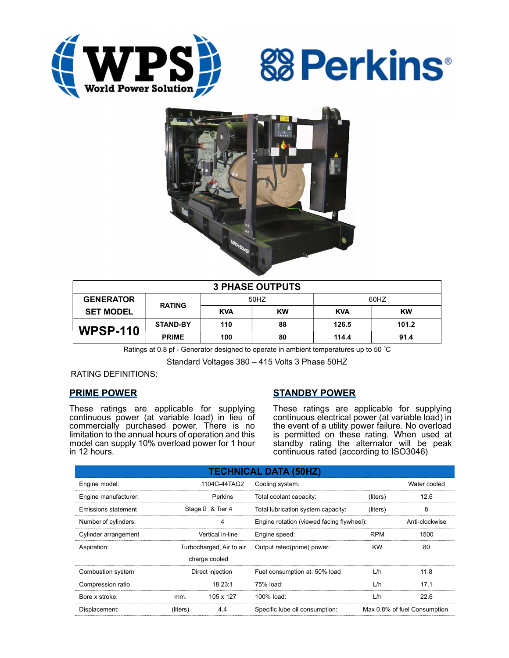





| <b>3 PHASE OUTPUTS</b> |                 |            |           |            |           |  |  |  |
|------------------------|-----------------|------------|-----------|------------|-----------|--|--|--|
| <b>GENERATOR</b>       | <b>RATING</b>   | 50HZ       |           | 60HZ       |           |  |  |  |
| <b>SET MODEL</b>       |                 | <b>KVA</b> | <b>KW</b> | <b>KVA</b> | <b>KW</b> |  |  |  |
| <b>WPSP-110</b>        | <b>STAND-BY</b> | 110        | 88        | 126.5      | 101.2     |  |  |  |
|                        | <b>PRIME</b>    | 100        | 80        | 114.4      | 91.4      |  |  |  |

Ratings at 0.8 pf - Generator designed to operate in ambient temperatures up to 50 °C

Standard Voltages 380 – 415 Volts 3 Phase 50HZ

## RATING DEFINITIONS:

## PRIME POWER

These ratings are applicable for supplying continuous power (at variable load) in lieu of commercially purchased power. There is no limitation to the annual hours of operation and this model can supply 10% overload power for 1 hour in 12 hours.

# STANDBY POWER

These ratings are applicable for supplying continuous electrical power (at variable load) in the event of a utility power failure. No overload is permitted on these rating. When used at standby rating the alternator will be peak continuous rated (according to ISO3046)

| <b>TECHNICAL DATA (50HZ)</b> |                                                |                   |                                     |                              |                |  |  |  |  |  |
|------------------------------|------------------------------------------------|-------------------|-------------------------------------|------------------------------|----------------|--|--|--|--|--|
| Engine model:                |                                                | 1104C-44TAG2      | Cooling system:                     | Water cooled                 |                |  |  |  |  |  |
| Engine manufacturer:         |                                                | Perkins           | Total coolant capacity:<br>(liters) |                              | 12.6           |  |  |  |  |  |
| Emissions statement          |                                                | Stage II & Tier 4 | Total lubrication system capacity:  | (liters)                     | 8              |  |  |  |  |  |
| Number of cylinders:         | Engine rotation (viewed facing flywheel):<br>4 |                   |                                     |                              | Anti-clockwise |  |  |  |  |  |
| Cylinder arrangement         |                                                | Vertical in-line  | Engine speed:                       | <b>RPM</b>                   | 1500           |  |  |  |  |  |
| Aspiration:                  | Turbocharged, Air to air                       |                   | Output rated(prime) power:          | <b>KW</b>                    | 80             |  |  |  |  |  |
|                              |                                                | charge cooled     |                                     |                              |                |  |  |  |  |  |
| Combustion system            | Direct injection                               |                   | Fuel consumption at: 50% load       | L/h                          | 11.8           |  |  |  |  |  |
| Compression ratio            |                                                | 18.23:1           | 75% load:                           | L/h                          | 17.1           |  |  |  |  |  |
| Bore x stroke:               | mm.                                            | 105 x 127         | 100% load:                          | L/h                          | 22.6           |  |  |  |  |  |
| Displacement:                | (liters)                                       | 4.4               | Specific lube oil consumption:      | Max 0.8% of fuel Consumption |                |  |  |  |  |  |